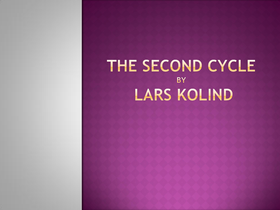### THE SECOND CYCLE **BY** LARS KOLIND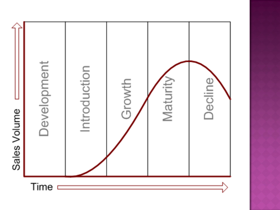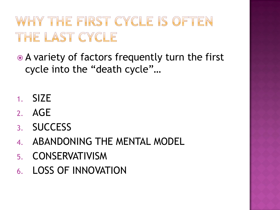# WHY THE FIRST CYCLE IS OFTEN THE LAST CYCLE

 A variety of factors frequently turn the first cycle into the "death cycle"…

- 1. SIZE
- 2. AGE
- 3. SUCCESS
- 4. ABANDONING THE MENTAL MODEL
- 5. CONSERVATIVISM
- 6. LOSS OF INNOVATION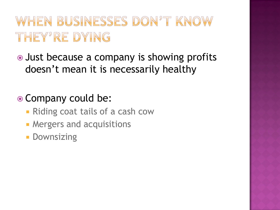### WHEN BUSINESSES DON'T KNOW THEY'RE DYING

• Just because a company is showing profits doesn't mean it is necessarily healthy

### • Company could be:

- **Riding coat tails of a cash cow**
- **Mergers and acquisitions**
- **Downsizing**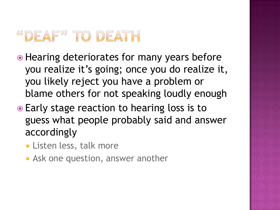### <sup>66</sup>DEAF<sup>22</sup> TO DEATH

- Hearing deteriorates for many years before you realize it's going; once you do realize it, you likely reject you have a problem or blame others for not speaking loudly enough
- Early stage reaction to hearing loss is to guess what people probably said and answer accordingly
	- **Listen less, talk more**
	- **Ask one question, answer another**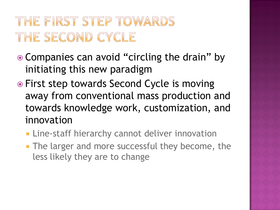### THE FIRST STEP TOWARDS THE SECOND CYCLE

- Companies can avoid "circling the drain" by initiating this new paradigm
- First step towards Second Cycle is moving away from conventional mass production and towards knowledge work, customization, and innovation
	- **Example 2 Finder Staff hierarchy cannot deliver innovation**
	- **The larger and more successful they become, the** less likely they are to change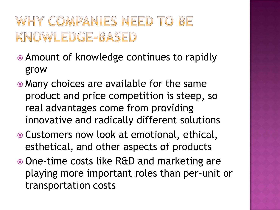#### WHY COMPANIES NEED TO  $BE$ KNOWLEDGE-BASED

- Amount of knowledge continues to rapidly grow
- Many choices are available for the same product and price competition is steep, so real advantages come from providing innovative and radically different solutions
- Customers now look at emotional, ethical, esthetical, and other aspects of products
- One-time costs like R&D and marketing are playing more important roles than per-unit or transportation costs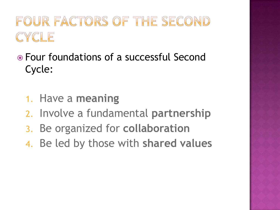### FOUR FACTORS OF THE SECOND CYCLE

- Four foundations of a successful Second Cycle:
	- 1. Have a **meaning**
	- 2. Involve a fundamental **partnership**
	- 3. Be organized for **collaboration**
	- 4. Be led by those with **shared values**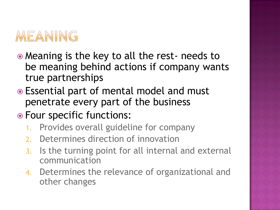

- Meaning is the key to all the rest- needs to be meaning behind actions if company wants true partnerships
- Essential part of mental model and must penetrate every part of the business
- Four specific functions:
	- 1. Provides overall guideline for company
	- 2. Determines direction of innovation
	- 3. Is the turning point for all internal and external communication
	- 4. Determines the relevance of organizational and other changes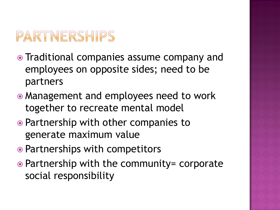# PARTNERSHIPS

- Traditional companies assume company and employees on opposite sides; need to be partners
- Management and employees need to work together to recreate mental model
- Partnership with other companies to generate maximum value
- Partnerships with competitors
- Partnership with the community= corporate social responsibility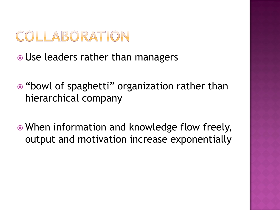### COLLABORATION

- Use leaders rather than managers
- "bowl of spaghetti" organization rather than hierarchical company
- When information and knowledge flow freely, output and motivation increase exponentially